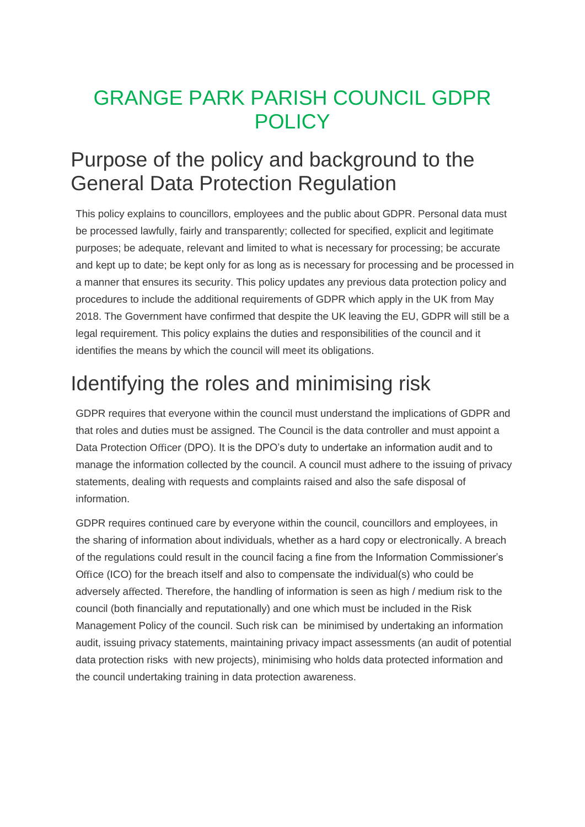### GRANGE PARK PARISH COUNCIL GDPR **POLICY**

#### Purpose of the policy and background to the General Data Protection Regulation

This policy explains to councillors, employees and the public about GDPR. Personal data must be processed lawfully, fairly and transparently; collected for specified, explicit and legitimate purposes; be adequate, relevant and limited to what is necessary for processing; be accurate and kept up to date; be kept only for as long as is necessary for processing and be processed in a manner that ensures its security. This policy updates any previous data protection policy and procedures to include the additional requirements of GDPR which apply in the UK from May 2018. The Government have confirmed that despite the UK leaving the EU, GDPR will still be a legal requirement. This policy explains the duties and responsibilities of the council and it identifies the means by which the council will meet its obligations.

## Identifying the roles and minimising risk

GDPR requires that everyone within the council must understand the implications of GDPR and that roles and duties must be assigned. The Council is the data controller and must appoint a Data Protection Officer (DPO). It is the DPO's duty to undertake an information audit and to manage the information collected by the council. A council must adhere to the issuing of privacy statements, dealing with requests and complaints raised and also the safe disposal of information.

GDPR requires continued care by everyone within the council, councillors and employees, in the sharing of information about individuals, whether as a hard copy or electronically. A breach of the regulations could result in the council facing a fine from the Information Commissioner's Office (ICO) for the breach itself and also to compensate the individual(s) who could be adversely affected. Therefore, the handling of information is seen as high / medium risk to the council (both financially and reputationally) and one which must be included in the Risk Management Policy of the council. Such risk can be minimised by undertaking an information audit, issuing privacy statements, maintaining privacy impact assessments (an audit of potential data protection risks with new projects), minimising who holds data protected information and the council undertaking training in data protection awareness.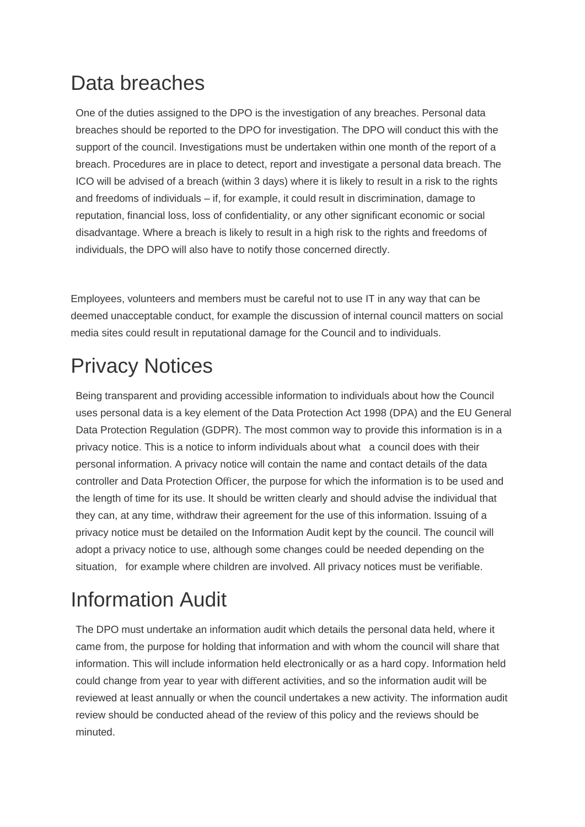### Data breaches

One of the duties assigned to the DPO is the investigation of any breaches. Personal data breaches should be reported to the DPO for investigation. The DPO will conduct this with the support of the council. Investigations must be undertaken within one month of the report of a breach. Procedures are in place to detect, report and investigate a personal data breach. The ICO will be advised of a breach (within 3 days) where it is likely to result in a risk to the rights and freedoms of individuals – if, for example, it could result in discrimination, damage to reputation, financial loss, loss of confidentiality, or any other significant economic or social disadvantage. Where a breach is likely to result in a high risk to the rights and freedoms of individuals, the DPO will also have to notify those concerned directly.

Employees, volunteers and members must be careful not to use IT in any way that can be deemed unacceptable conduct, for example the discussion of internal council matters on social media sites could result in reputational damage for the Council and to individuals.

# Privacy Notices

Being transparent and providing accessible information to individuals about how the Council uses personal data is a key element of the Data Protection Act 1998 (DPA) and the EU General Data Protection Regulation (GDPR). The most common way to provide this information is in a privacy notice. This is a notice to inform individuals about what a council does with their personal information. A privacy notice will contain the name and contact details of the data controller and Data Protection Officer, the purpose for which the information is to be used and the length of time for its use. It should be written clearly and should advise the individual that they can, at any time, withdraw their agreement for the use of this information. Issuing of a privacy notice must be detailed on the Information Audit kept by the council. The council will adopt a privacy notice to use, although some changes could be needed depending on the situation, for example where children are involved. All privacy notices must be verifiable.

# Information Audit

The DPO must undertake an information audit which details the personal data held, where it came from, the purpose for holding that information and with whom the council will share that information. This will include information held electronically or as a hard copy. Information held could change from year to year with different activities, and so the information audit will be reviewed at least annually or when the council undertakes a new activity. The information audit review should be conducted ahead of the review of this policy and the reviews should be minuted.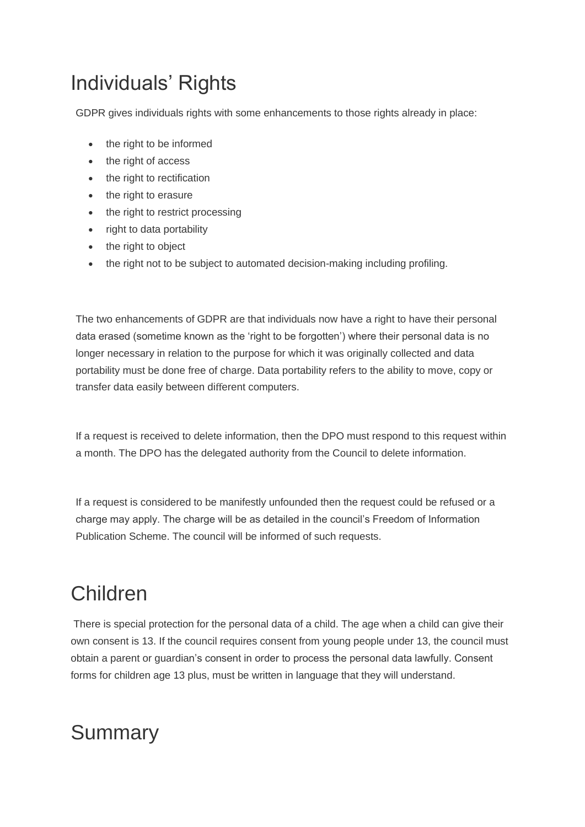## Individuals' Rights

GDPR gives individuals rights with some enhancements to those rights already in place:

- the right to be informed
- the right of access
- the right to rectification
- the right to erasure
- the right to restrict processing
- right to data portability
- the right to object
- the right not to be subject to automated decision-making including profiling.

The two enhancements of GDPR are that individuals now have a right to have their personal data erased (sometime known as the 'right to be forgotten') where their personal data is no longer necessary in relation to the purpose for which it was originally collected and data portability must be done free of charge. Data portability refers to the ability to move, copy or transfer data easily between different computers.

If a request is received to delete information, then the DPO must respond to this request within a month. The DPO has the delegated authority from the Council to delete information.

If a request is considered to be manifestly unfounded then the request could be refused or a charge may apply. The charge will be as detailed in the council's Freedom of Information Publication Scheme. The council will be informed of such requests.

### Children

There is special protection for the personal data of a child. The age when a child can give their own consent is 13. If the council requires consent from young people under 13, the council must obtain a parent or guardian's consent in order to process the personal data lawfully. Consent forms for children age 13 plus, must be written in language that they will understand.

#### Summary